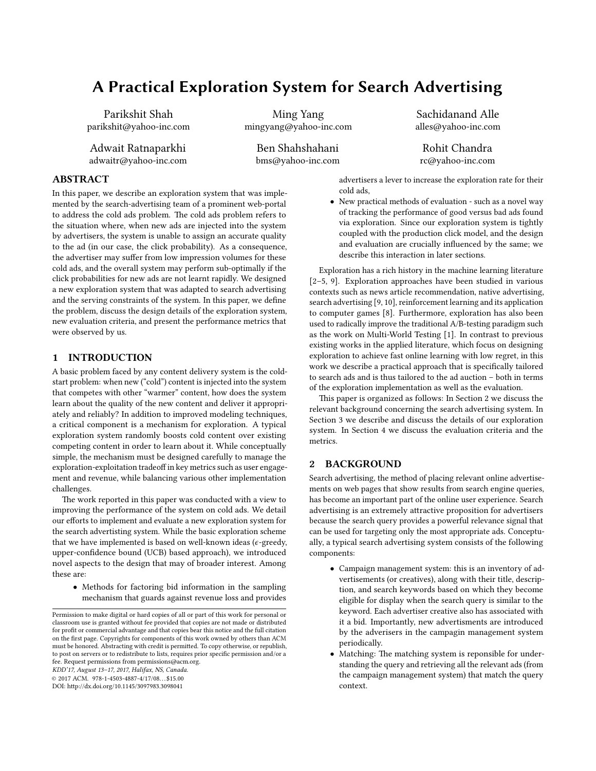# A Practical Exploration System for Search Advertising

Parikshit Shah parikshit@yahoo-inc.com

Adwait Ratnaparkhi adwaitr@yahoo-inc.com

Ming Yang mingyang@yahoo-inc.com

Ben Shahshahani bms@yahoo-inc.com

Sachidanand Alle alles@yahoo-inc.com

Rohit Chandra rc@yahoo-inc.com

# ABSTRACT

In this paper, we describe an exploration system that was implemented by the search-advertising team of a prominent web-portal to address the cold ads problem. The cold ads problem refers to the situation where, when new ads are injected into the system by advertisers, the system is unable to assign an accurate quality to the ad (in our case, the click probability). As a consequence, the advertiser may suffer from low impression volumes for these cold ads, and the overall system may perform sub-optimally if the click probabilities for new ads are not learnt rapidly. We designed a new exploration system that was adapted to search advertising and the serving constraints of the system. In this paper, we define the problem, discuss the design details of the exploration system, new evaluation criteria, and present the performance metrics that were observed by us.

# 1 INTRODUCTION

A basic problem faced by any content delivery system is the coldstart problem: when new ("cold") content is injected into the system that competes with other "warmer" content, how does the system learn about the quality of the new content and deliver it appropriately and reliably? In addition to improved modeling techniques, a critical component is a mechanism for exploration. A typical exploration system randomly boosts cold content over existing competing content in order to learn about it. While conceptually simple, the mechanism must be designed carefully to manage the exploration-exploitation tradeoff in key metrics such as user engagement and revenue, while balancing various other implementation challenges.

The work reported in this paper was conducted with a view to improving the performance of the system on cold ads. We detail our efforts to implement and evaluate a new exploration system for the search advertisting system. While the basic exploration scheme that we have implemented is based on well-known ideas ( $\epsilon$ -greedy, upper-confidence bound (UCB) based approach), we introduced novel aspects to the design that may of broader interest. Among these are:

• Methods for factoring bid information in the sampling mechanism that guards against revenue loss and provides

KDD'17, August 13–17, 2017, Halifax, NS, Canada.

 $@ 2017$  ACM. 978-1-4503-4887-4/17/08...\$15.00

DOI: hp://dx.doi.org/10.1145/3097983.3098041

advertisers a lever to increase the exploration rate for their cold ads, • New practical methods of evaluation - such as a novel way

of tracking the performance of good versus bad ads found via exploration. Since our exploration system is tightly coupled with the production click model, and the design and evaluation are crucially influenced by the same; we describe this interaction in later sections.

Exploration has a rich history in the machine learning literature [\[2](#page-6-0)[–5,](#page-6-1) [9\]](#page-6-2). Exploration approaches have been studied in various contexts such as news article recommendation, native advertising, search advertising [\[9,](#page-6-2) [10\]](#page-6-3), reinforcement learning and its application to computer games [\[8\]](#page-6-4). Furthermore, exploration has also been used to radically improve the traditional A/B-testing paradigm such as the work on Multi-World Testing [\[1\]](#page-6-5). In contrast to previous existing works in the applied literature, which focus on designing exploration to achieve fast online learning with low regret, in this work we describe a practical approach that is specifically tailored to search ads and is thus tailored to the ad auction – both in terms of the exploration implementation as well as the evaluation.

This paper is organized as follows: In Section [2](#page-0-0) we discuss the relevant background concerning the search advertising system. In Section [3](#page-3-0) we describe and discuss the details of our exploration system. In Section [4](#page-4-0) we discuss the evaluation criteria and the metrics.

## <span id="page-0-0"></span>2 BACKGROUND

Search advertising, the method of placing relevant online advertisements on web pages that show results from search engine queries, has become an important part of the online user experience. Search advertising is an extremely attractive proposition for advertisers because the search query provides a powerful relevance signal that can be used for targeting only the most appropriate ads. Conceptually, a typical search advertising system consists of the following components:

- Campaign management system: this is an inventory of advertisements (or creatives), along with their title, description, and search keywords based on which they become eligible for display when the search query is similar to the keyword. Each advertiser creative also has associated with it a bid. Importantly, new advertisments are introduced by the adverisers in the campagin management system periodically.
- Matching: The matching system is reponsible for understanding the query and retrieving all the relevant ads (from the campaign management system) that match the query context.

Permission to make digital or hard copies of all or part of this work for personal or classroom use is granted without fee provided that copies are not made or distributed for profit or commercial advantage and that copies bear this notice and the full citation on the first page. Copyrights for components of this work owned by others than ACM  $\,$ must be honored. Abstracting with credit is permitted. To copy otherwise, or republish, to post on servers or to redistribute to lists, requires prior specific permission and/or a fee. Request permissions from permissions@acm.org.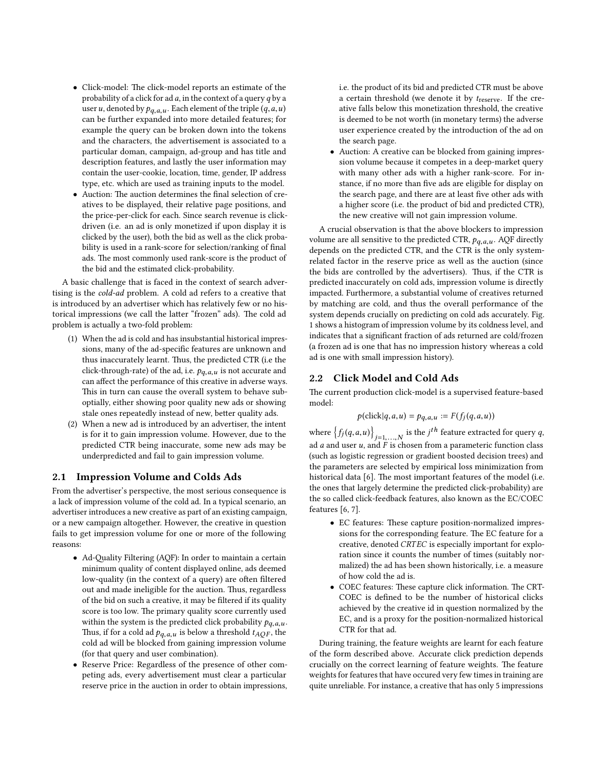- Click-model: The click-model reports an estimate of the probability of a click for ad  $a$ , in the context of a query  $q$  by a user u, denoted by  $p_{q,a,u}$ . Each element of the triple  $(q,a,u)$ can be further expanded into more detailed features; for example the query can be broken down into the tokens and the characters, the advertisement is associated to a particular doman, campaign, ad-group and has title and description features, and lastly the user information may contain the user-cookie, location, time, gender, IP address type, etc. which are used as training inputs to the model.
- Auction: The auction determines the final selection of creatives to be displayed, their relative page positions, and the price-per-click for each. Since search revenue is clickdriven (i.e. an ad is only monetized if upon display it is clicked by the user), both the bid as well as the click probability is used in a rank-score for selection/ranking of final ads. The most commonly used rank-score is the product of the bid and the estimated click-probability.

A basic challenge that is faced in the context of search advertising is the cold-ad problem. A cold ad refers to a creative that is introduced by an advertiser which has relatively few or no historical impressions (we call the latter "frozen" ads). The cold ad problem is actually a two-fold problem:

- (1) When the ad is cold and has insubstantial historical impressions, many of the ad-specific features are unknown and thus inaccurately learnt. Thus, the predicted CTR (i.e the click-through-rate) of the ad, i.e.  $p_{q,a,u}$  is not accurate and can affect the performance of this creative in adverse ways. This in turn can cause the overall system to behave suboptially, either showing poor quality new ads or showing stale ones repeatedly instead of new, better quality ads.
- (2) When a new ad is introduced by an advertiser, the intent is for it to gain impression volume. However, due to the predicted CTR being inaccurate, some new ads may be underpredicted and fail to gain impression volume.

#### 2.1 Impression Volume and Colds Ads

From the advertiser's perspective, the most serious consequence is a lack of impression volume of the cold ad. In a typical scenario, an advertiser introduces a new creative as part of an existing campaign, or a new campaign altogether. However, the creative in question fails to get impression volume for one or more of the following reasons:

- Ad-Quality Filtering (AQF): In order to maintain a certain minimum quality of content displayed online, ads deemed low-quality (in the context of a query) are often filtered out and made ineligible for the auction. Thus, regardless of the bid on such a creative, it may be filtered if its quality score is too low. The primary quality score currently used within the system is the predicted click probability  $p_{q,a,u}$ . Thus, if for a cold ad  $p_{q,a,u}$  is below a threshold  $t_{AQF}$ , the cold ad will be blocked from gaining impression volume (for that query and user combination).
- Reserve Price: Regardless of the presence of other competing ads, every advertisement must clear a particular reserve price in the auction in order to obtain impressions,

i.e. the product of its bid and predicted CTR must be above a certain threshold (we denote it by  $t_{\text{reserve}}$ . If the creative falls below this monetization threshold, the creative is deemed to be not worth (in monetary terms) the adverse user experience created by the introduction of the ad on the search page.

• Auction: A creative can be blocked from gaining impression volume because it competes in a deep-market query with many other ads with a higher rank-score. For instance, if no more than five ads are eligible for display on the search page, and there are at least five other ads with a higher score (i.e. the product of bid and predicted CTR), the new creative will not gain impression volume.

A crucial observation is that the above blockers to impression volume are all sensitive to the predicted CTR,  $p_{q,a,u}$ . AQF directly depends on the predicted CTR, and the CTR is the only systemrelated factor in the reserve price as well as the auction (since the bids are controlled by the advertisers). Thus, if the CTR is predicted inaccurately on cold ads, impression volume is directly impacted. Furthermore, a substantial volume of creatives returned by matching are cold, and thus the overall performance of the system depends crucially on predicting on cold ads accurately. Fig. [1](#page-2-0) shows a histogram of impression volume by its coldness level, and indicates that a significant fraction of ads returned are cold/frozen (a frozen ad is one that has no impression history whereas a cold ad is one with small impression history).

## 2.2 Click Model and Cold Ads

The current production click-model is a supervised feature-based model:

$$
p(\text{click}|q, a, u) = p_{q, a, u} := F(f_j(q, a, u))
$$

 $p(\text{click}|q, a, u) = p_{q, a, u} := F(f_j(q, a, u))$ <br>where  $\{f_j(q, a, u)\}_{j=1, ..., N}$  is the *j<sup>th</sup>* feature extracte and a and user u, and F is chosen from a parameteric function class is the  $j^{th}$  feature extracted for query  $q$ , (such as logistic regression or gradient boosted decision trees) and the parameters are selected by empirical loss minimization from historical data  $[6]$ . The most important features of the model (i.e. the ones that largely determine the predicted click-probability) are the so called click-feedback features, also known as the EC/COEC features [\[6,](#page-6-6) [7\]](#page-6-7).

- EC features: These capture position-normalized impressions for the corresponding feature. The EC feature for a creative, denoted CRTEC is especially important for exploration since it counts the number of times (suitably normalized) the ad has been shown historically, i.e. a measure of how cold the ad is.
- COEC features: These capture click information. The CRT-COEC is defined to be the number of historical clicks achieved by the creative id in question normalized by the EC, and is a proxy for the position-normalized historical CTR for that ad.

During training, the feature weights are learnt for each feature of the form described above. Accurate click prediction depends crucially on the correct learning of feature weights. The feature weights for features that have occured very few times in training are quite unreliable. For instance, a creative that has only 5 impressions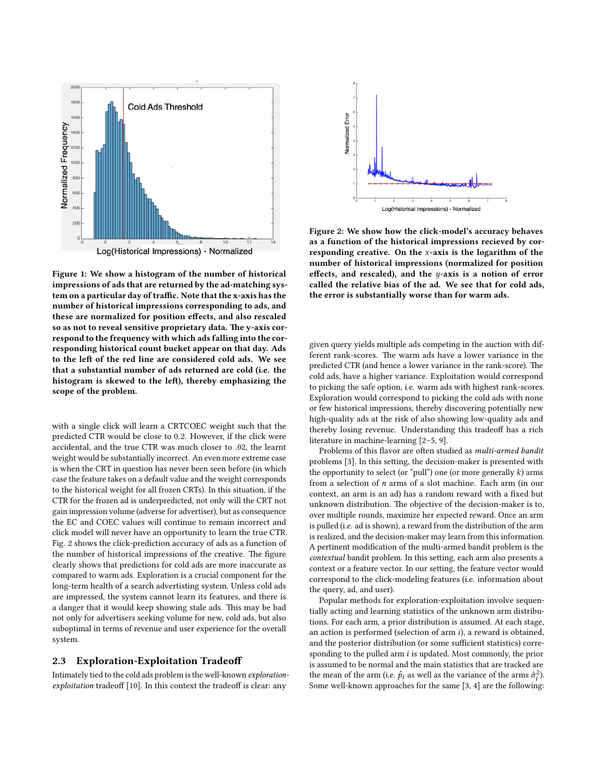<span id="page-2-0"></span>

Figure 1: We show a histogram of the number of historical impressions of ads that are returned by the ad-matching system on a particular day of traffic. Note that the x-axis has the number of historical impressions corresponding to ads, and these are normalized for position effects, and also rescaled so as not to reveal sensitive proprietary data. The y-axis correspond to the frequency with which ads falling into the corresponding historical count bucket appear on that day. Ads to the left of the red line are considered cold ads. We see that a substantial number of ads returned are cold (i.e. the histogram is skewed to the left), thereby emphasizing the scope of the problem.

with a single click will learn a CRTCOEC weight such that the predicted CTR would be close to 0.2. However, if the click were accidental, and the true CTR was much closer to .02, the learnt weight would be substantially incorrect. An even more extreme case is when the CRT in question has never been seen before (in which case the feature takes on a default value and the weight corresponds to the historical weight for all frozen CRTs). In this situation, if the CTR for the frozen ad is underpredicted, not only will the CRT not gain impression volume (adverse for advertiser), but as consequence the EC and COEC values will continue to remain incorrect and click model will never have an opportunity to learn the true CTR. Fig. [2](#page-2-1) shows the click-prediction accuracy of ads as a function of the number of historical impressions of the creative. The figure clearly shows that predictions for cold ads are more inaccurate as compared to warm ads. Exploration is a crucial component for the long-term health of a search advertisting system. Unless cold ads are impressed, the system cannot learn its features, and there is a danger that it would keep showing stale ads. This may be bad not only for advertisers seeking volume for new, cold ads, but also suboptimal in terms of revenue and user experience for the overall system.

## 2.3 Exploration-Exploitation Tradeo

Intimately tied to the cold ads problem is the well-known explorationexploitation tradeoff  $[10]$ . In this context the tradeoff is clear: any

<span id="page-2-1"></span>

Figure 2: We show how the click-model's accuracy behaves as a function of the historical impressions recieved by corresponding creative. On the  $x$ -axis is the logarithm of the number of historical impressions (normalized for position effects, and rescaled), and the  $y$ -axis is a notion of error called the relative bias of the ad. We see that for cold ads, the error is substantially worse than for warm ads.

given query yields multiple ads competing in the auction with different rank-scores. The warm ads have a lower variance in the predicted CTR (and hence a lower variance in the rank-score). The cold ads, have a higher variance. Exploitation would correspond to picking the safe option, i.e. warm ads with highest rank-scores. Exploration would correspond to picking the cold ads with none or few historical impressions, thereby discovering potentially new high-quality ads at the risk of also showing low-quality ads and thereby losing revenue. Understanding this tradeoff has a rich literature in machine-learning [\[2–](#page-6-0)[5,](#page-6-1) [9\]](#page-6-2).

Problems of this flavor are often studied as multi-armed bandit problems [\[3\]](#page-6-8). In this setting, the decision-maker is presented with the opportunity to select (or "pull") one (or more generally  $k$ ) arms from a selection of n arms of a slot machine. Each arm (in our context, an arm is an ad) has a random reward with a fixed but unknown distribution. The objective of the decision-maker is to, over multiple rounds, maximize her expected reward. Once an arm is pulled (i.e. ad is shown), a reward from the distribution of the arm is realized, and the decision-maker may learn from this information. A pertinent modification of the multi-armed bandit problem is the contextual bandit problem. In this setting, each arm also presents a context or a feature vector. In our setting, the feature vector would correspond to the click-modeling features (i.e. information about the query, ad, and user).

Popular methods for exploration-exploitation involve sequentially acting and learning statistics of the unknown arm distributions. For each arm, a prior distribution is assumed. At each stage, an action is performed (selection of arm i), a reward is obtained, and the posterior distribution (or some sufficient statistics) corresponding to the pulled arm i is updated. Most commonly, the prior is assumed to be normal and the main statistics that are tracked are the mean of the arm (i.e.  $\hat{p}_i$  as well as the variance of the arms  $\hat{\sigma}_i^2$ ).<br>Some well known approaches for the same [3, 4] are the following: Some well-known approaches for the same [\[3,](#page-6-8) [4\]](#page-6-9) are the following: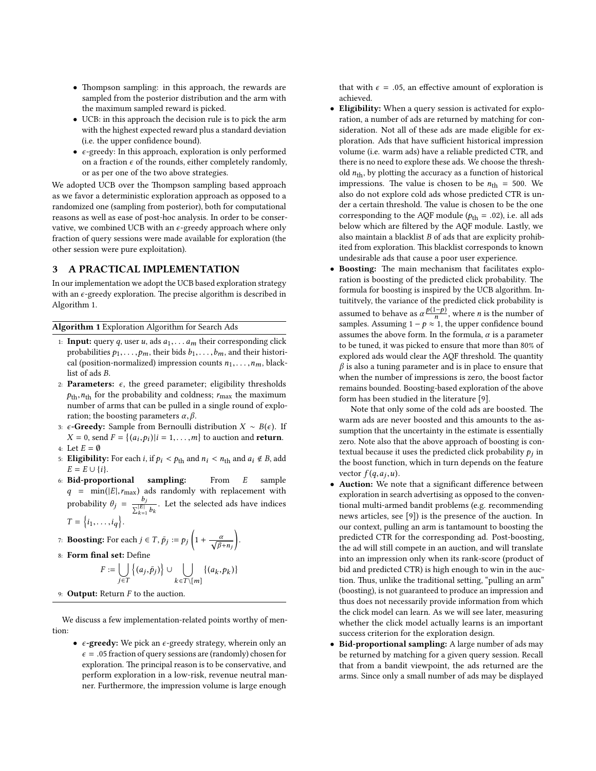- Thompson sampling: in this approach, the rewards are sampled from the posterior distribution and the arm with the maximum sampled reward is picked.
- UCB: in this approach the decision rule is to pick the arm with the highest expected reward plus a standard deviation (i.e. the upper confidence bound).
- $\epsilon$ -greedy: In this approach, exploration is only performed on a fraction  $\epsilon$  of the rounds, either completely randomly, or as per one of the two above strategies.

We adopted UCB over the Thompson sampling based approach as we favor a deterministic exploration approach as opposed to a randomized one (sampling from posterior), both for computational reasons as well as ease of post-hoc analysis. In order to be conservative, we combined UCB with an  $\epsilon$ -greedy approach where only fraction of query sessions were made available for exploration (the other session were pure exploitation).

## <span id="page-3-0"></span>3 A PRACTICAL IMPLEMENTATION

In our implementation we adopt the UCB based exploration strategy with an  $\epsilon$ -greedy exploration. The precise algorithm is described in Algorithm [1.](#page-3-1)

<span id="page-3-1"></span>Algorithm 1 Exploration Algorithm for Search Ads

- 1: **Input:** query q, user u, ads  $a_1, \ldots, a_m$  their corresponding click probabilities  $p_1, \ldots, p_m$ , their bids  $b_1, \ldots, b_m$ , and their historical (position-normalized) impression counts  $n_1, \ldots, n_m$ , blacklist of ads B.
- 2: Parameters:  $\epsilon$ , the greed parameter; eligibility thresholds  $p_{\text{th}}$ ,  $n_{\text{th}}$  for the probability and coldness;  $r_{\text{max}}$  the maximum number of arms that can be pulled in a single round of exploration; the boosting parameters  $\alpha$ ,  $\beta$ .
- 3:  $\epsilon$ -Greedy: Sample from Bernoulli distribution  $X \sim B(\epsilon)$ . If  $X = 0$ , send  $F = \{(a_i, p_i) | i = 1, ..., m\}$  to auction and **return**.<br>Let  $F = \emptyset$ 4: Let  $E = \emptyset$
- 5: **Eligibility:** For each *i*, if  $p_i < p_{th}$  and  $n_i < n_{th}$  and  $a_i \notin B$ , add  $E = E \cup \{i\}.$
- 6: Bid-proportional sampling: From  $E$  sample  $q = \min(|E|, r_{\text{max}})$  ads randomly with replacement with probability  $\theta_j = \frac{b_j}{\sum_{k=1}^{|E|} b_k}$ ability  $\theta_j = \frac{\nu_j}{\sum_{k=1}^{|E|} b_k}$ . Let the selected ads have indices

! .

$$
T = \{i_1, \dots, i_q\}.
$$
  
7: **Boosting:** For each  $j \in T$ ,  $\bar{p}_j := p_j \left(1 + \frac{\alpha}{\sqrt{\beta + n_j}}\right)$ 

8: **Form final set:** Define

$$
F := \bigcup_{j \in T} \left\{ (a_j, \bar{p}_j) \right\} \cup \bigcup_{k \in T \setminus [m]} \left\{ (a_k, p_k) \right\}
$$

9: **Output:** Return  $F$  to the auction.

We discuss a few implementation-related points worthy of mention:

•  $\epsilon$ -greedy: We pick an  $\epsilon$ -greedy strategy, wherein only an  $\epsilon = 0.05$  fraction of query sessions are (randomly) chosen for exploration. The principal reason is to be conservative, and perform exploration in a low-risk, revenue neutral manner. Furthermore, the impression volume is large enough that with  $\epsilon = .05$ , an effective amount of exploration is achieved.

- Eligibility: When a query session is activated for exploration, a number of ads are returned by matching for consideration. Not all of these ads are made eligible for exploration. Ads that have sufficient historical impression volume (i.e. warm ads) have a reliable predicted CTR, and there is no need to explore these ads. We choose the threshold  $n_{\text{th}}$ , by plotting the accuracy as a function of historical impressions. The value is chosen to be  $n_{\text{th}} = 500$ . We also do not explore cold ads whose predicted CTR is under a certain threshold. The value is chosen to be the one corresponding to the AQF module  $(p_{th} = .02)$ , i.e. all ads below which are filtered by the AQF module. Lastly, we also maintain a blacklist  $B$  of ads that are explicity prohibited from exploration. This blacklist corresponds to known undesirable ads that cause a poor user experience.
- Boosting: The main mechanism that facilitates exploration is boosting of the predicted click probability. The formula for boosting is inspired by the UCB algorithm. Intuititvely, the variance of the predicted click probability is assumed to behave as  $\alpha \frac{p(1-p)}{n}$ , where *n* is the number of samples. Assuming  $1 - p \approx 1$ , the upper confidence bound assumes the above form. In the formula,  $\alpha$  is a parameter to be tuned, it was picked to ensure that more than 80% of explored ads would clear the AQF threshold. The quantity  $\beta$  is also a tuning parameter and is in place to ensure that when the number of impressions is zero, the boost factor remains bounded. Boosting-based exploration of the above form has been studied in the literature [\[9\]](#page-6-2).

Note that only some of the cold ads are boosted. The warm ads are never boosted and this amounts to the assumption that the uncertainty in the estimate is essentially zero. Note also that the above approach of boosting is contextual because it uses the predicted click probability  $p_j$  in<br>the boost function, which in turn depends on the feature the boost function, which in turn depends on the feature vector  $f(q, a_j, u)$ .<br>Auction: We no

- Auction: We note that a significant difference between exploration in search advertising as opposed to the conventional multi-armed bandit problems (e.g. recommending news articles, see [\[9\]](#page-6-2)) is the presence of the auction. In our context, pulling an arm is tantamount to boosting the predicted CTR for the corresponding ad. Post-boosting, the ad will still compete in an auction, and will translate into an impression only when its rank-score (product of bid and predicted CTR) is high enough to win in the auction. Thus, unlike the traditional setting, "pulling an arm" (boosting), is not guaranteed to produce an impression and thus does not necessarily provide information from which the click model can learn. As we will see later, measuring whether the click model actually learns is an important success criterion for the exploration design.
- Bid-proportional sampling: A large number of ads may be returned by matching for a given query session. Recall that from a bandit viewpoint, the ads returned are the arms. Since only a small number of ads may be displayed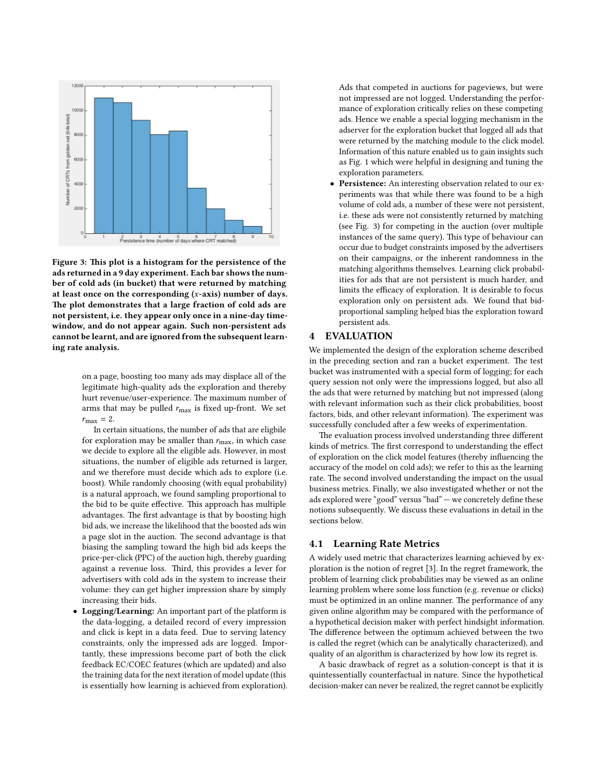<span id="page-4-1"></span>

Figure 3: This plot is a histogram for the persistence of the ads returned in a 9 day experiment. Each bar shows the number of cold ads (in bucket) that were returned by matching at least once on the corresponding  $(x$ -axis) number of days. The plot demonstrates that a large fraction of cold ads are not persistent, i.e. they appear only once in a nine-day timewindow, and do not appear again. Such non-persistent ads cannot be learnt, and are ignored from the subsequent learning rate analysis.

> on a page, boosting too many ads may displace all of the legitimate high-quality ads the exploration and thereby hurt revenue/user-experience. The maximum number of arms that may be pulled  $r_{\text{max}}$  is fixed up-front. We set  $r_{\text{max}} = 2$ .

> In certain situations, the number of ads that are eligbile for exploration may be smaller than  $r_{\text{max}}$ , in which case we decide to explore all the eligible ads. However, in most situations, the number of eligible ads returned is larger, and we therefore must decide which ads to explore (i.e. boost). While randomly choosing (with equal probability) is a natural approach, we found sampling proportional to the bid to be quite effective. This approach has multiple advantages. The first advantage is that by boosting high bid ads, we increase the likelihood that the boosted ads win a page slot in the auction. The second advantage is that biasing the sampling toward the high bid ads keeps the price-per-click (PPC) of the auction high, thereby guarding against a revenue loss. Third, this provides a lever for advertisers with cold ads in the system to increase their volume: they can get higher impression share by simply increasing their bids.

• Logging/Learning: An important part of the platform is the data-logging, a detailed record of every impression and click is kept in a data feed. Due to serving latency constraints, only the impressed ads are logged. Importantly, these impressions become part of both the click feedback EC/COEC features (which are updated) and also the training data for the next iteration of model update (this is essentially how learning is achieved from exploration). Ads that competed in auctions for pageviews, but were not impressed are not logged. Understanding the performance of exploration critically relies on these competing ads. Hence we enable a special logging mechanism in the adserver for the exploration bucket that logged all ads that were returned by the matching module to the click model. Information of this nature enabled us to gain insights such as Fig. [1](#page-2-0) which were helpful in designing and tuning the exploration parameters.

Persistence: An interesting observation related to our experiments was that while there was found to be a high volume of cold ads, a number of these were not persistent, i.e. these ads were not consistently returned by matching (see Fig. [3\)](#page-4-1) for competing in the auction (over multiple instances of the same query). This type of behaviour can occur due to budget constraints imposed by the advertisers on their campaigns, or the inherent randomness in the matching algorithms themselves. Learning click probabilities for ads that are not persistent is much harder, and limits the efficacy of exploration. It is desirable to focus exploration only on persistent ads. We found that bidproportional sampling helped bias the exploration toward persistent ads.

## <span id="page-4-0"></span>**EVALUATION**

We implemented the design of the exploration scheme described in the preceding section and ran a bucket experiment. The test bucket was instrumented with a special form of logging; for each query session not only were the impressions logged, but also all the ads that were returned by matching but not impressed (along with relevant information such as their click probabilities, boost factors, bids, and other relevant information). The experiment was successfully concluded after a few weeks of experimentation.

The evaluation process involved understanding three different kinds of metrics. The first correspond to understanding the effect of exploration on the click model features (thereby influencing the accuracy of the model on cold ads); we refer to this as the learning rate. The second involved understanding the impact on the usual business metrics. Finally, we also investigated whether or not the ads explored were "good" versus "bad"  $-$  we concretely define these notions subsequently. We discuss these evaluations in detail in the sections below.

## 4.1 Learning Rate Metrics

A widely used metric that characterizes learning achieved by exploration is the notion of regret [\[3\]](#page-6-8). In the regret framework, the problem of learning click probabilities may be viewed as an online learning problem where some loss function (e.g. revenue or clicks) must be optimized in an online manner. The performance of any given online algorithm may be compared with the performance of a hypothetical decision maker with perfect hindsight information. The difference between the optimum achieved between the two is called the regret (which can be analytically characterized), and quality of an algorithm is characterized by how low its regret is.

A basic drawback of regret as a solution-concept is that it is quintessentially counterfactual in nature. Since the hypothetical decision-maker can never be realized, the regret cannot be explicitly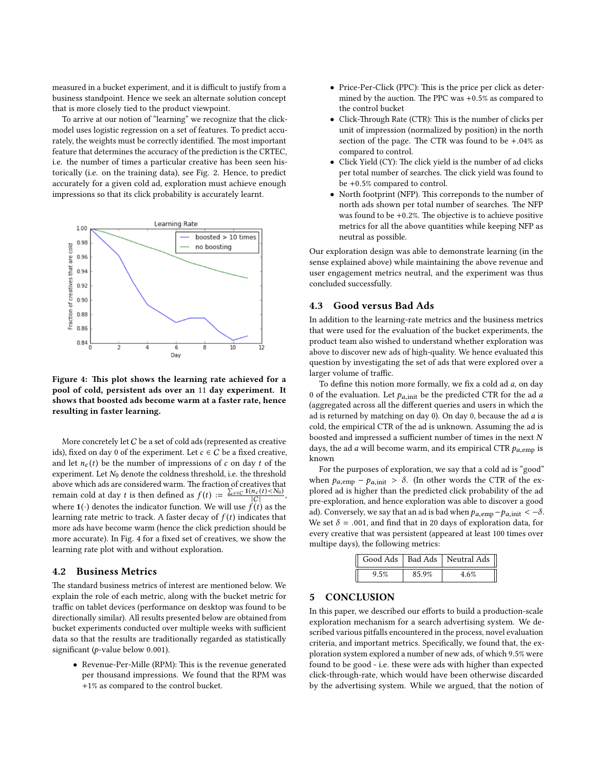measured in a bucket experiment, and it is difficult to justify from a business standpoint. Hence we seek an alternate solution concept that is more closely tied to the product viewpoint.

To arrive at our notion of "learning" we recognize that the clickmodel uses logistic regression on a set of features. To predict accurately, the weights must be correctly identified. The most important feature that determines the accuracy of the prediction is the CRTEC, i.e. the number of times a particular creative has been seen historically (i.e. on the training data), see Fig. [2.](#page-2-1) Hence, to predict accurately for a given cold ad, exploration must achieve enough impressions so that its click probability is accurately learnt.

<span id="page-5-0"></span>

Figure 4: This plot shows the learning rate achieved for a pool of cold, persistent ads over an 11 day experiment. It shows that boosted ads become warm at a faster rate, hence resulting in faster learning.

More concretely let  $C$  be a set of cold ads (represented as creative ids), fixed on day 0 of the experiment. Let  $c \in C$  be a fixed creative, and let  $n_c(t)$  be the number of impressions of c on day t of the experiment. Let  $N_0$  denote the coldness threshold, i.e. the threshold above which ads are considered warm. The fraction of creatives that remain cold at day t is then defined as  $f(t) := \frac{\sum_{c \in C} 1(n_c(t) < N_0)}{|C|}$ , where  $1(\cdot)$  denotes the indicator function. We will use  $f(t)$  as the learning rate metric to track. A faster decay of  $f(t)$  indicates that more ads have become warm (hence the click prediction should be more accurate). In Fig. [4](#page-5-0) for a fixed set of creatives, we show the learning rate plot with and without exploration.

#### 4.2 Business Metrics

The standard business metrics of interest are mentioned below. We explain the role of each metric, along with the bucket metric for traffic on tablet devices (performance on desktop was found to be directionally similar). All results presented below are obtained from bucket experiments conducted over multiple weeks with sufficient data so that the results are traditionally regarded as statistically significant ( $p$ -value below 0.001).

• Revenue-Per-Mille (RPM): This is the revenue generated per thousand impressions. We found that the RPM was +1% as compared to the control bucket.

- Price-Per-Click (PPC): This is the price per click as determined by the auction. The PPC was  $+0.5\%$  as compared to the control bucket
- Click-Through Rate (CTR): This is the number of clicks per unit of impression (normalized by position) in the north section of the page. The CTR was found to be  $+.04\%$  as compared to control.
- Click Yield (CY): The click yield is the number of ad clicks per total number of searches. The click yield was found to be <sup>+</sup>0.5% compared to control.
- North footprint (NFP). This correponds to the number of north ads shown per total number of searches. The NFP was found to be  $+0.2\%$ . The objective is to achieve positive metrics for all the above quantities while keeping NFP as neutral as possible.

Our exploration design was able to demonstrate learning (in the sense explained above) while maintaining the above revenue and user engagement metrics neutral, and the experiment was thus concluded successfully.

## 4.3 Good versus Bad Ads

In addition to the learning-rate metrics and the business metrics that were used for the evaluation of the bucket experiments, the product team also wished to understand whether exploration was above to discover new ads of high-quality. We hence evaluated this question by investigating the set of ads that were explored over a larger volume of traffic.

To define this notion more formally, we fix a cold ad  $a$ , on day 0 of the evaluation. Let  $p_{a,\text{init}}$  be the predicted CTR for the ad a (aggregated across all the different queries and users in which the ad is returned by matching on day 0). On day 0, because the ad  $a$  is cold, the empirical CTR of the ad is unknown. Assuming the ad is boosted and impressed a sufficient number of times in the next  $N$ days, the ad  $a$  will become warm, and its empirical CTR  $p_{a,emp}$  is known

For the purposes of exploration, we say that a cold ad is "good" when  $p_{a,emp} - p_{a,init} > \delta$ . (In other words the CTR of the explored ad is higher than the predicted click probability of the ad pre-exploration, and hence exploration was able to discover a good ad). Conversely, we say that an ad is bad when  $p_{a,emp}-p_{a,init} < -\delta$ . We set  $\delta$  = .001, and find that in 20 days of exploration data, for every creative that was persistent (appeared at least 100 times over multipe days), the following metrics:

|      |       | Good Ads   Bad Ads   Neutral Ads |
|------|-------|----------------------------------|
| 9.5% | 85.9% | 4.6%                             |

#### 5 CONCLUSION

In this paper, we described our efforts to build a production-scale exploration mechanism for a search advertising system. We described various pitfalls encountered in the process, novel evaluation criteria, and important metrics. Specifically, we found that, the exploration system explored a number of new ads, of which 9.5% were found to be good - i.e. these were ads with higher than expected click-through-rate, which would have been otherwise discarded by the advertising system. While we argued, that the notion of